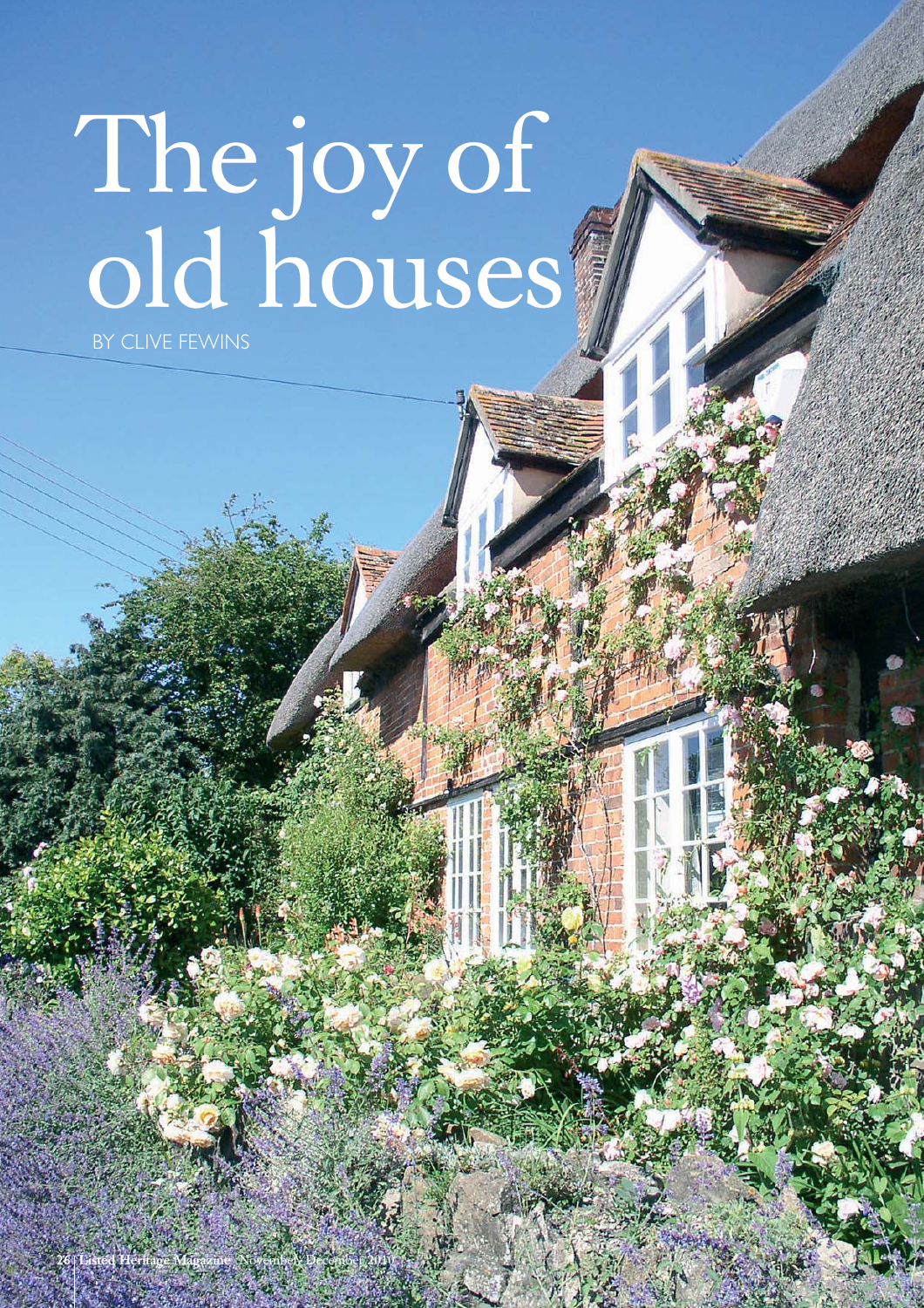# The joy of old houses

BY CLIVE FEWINS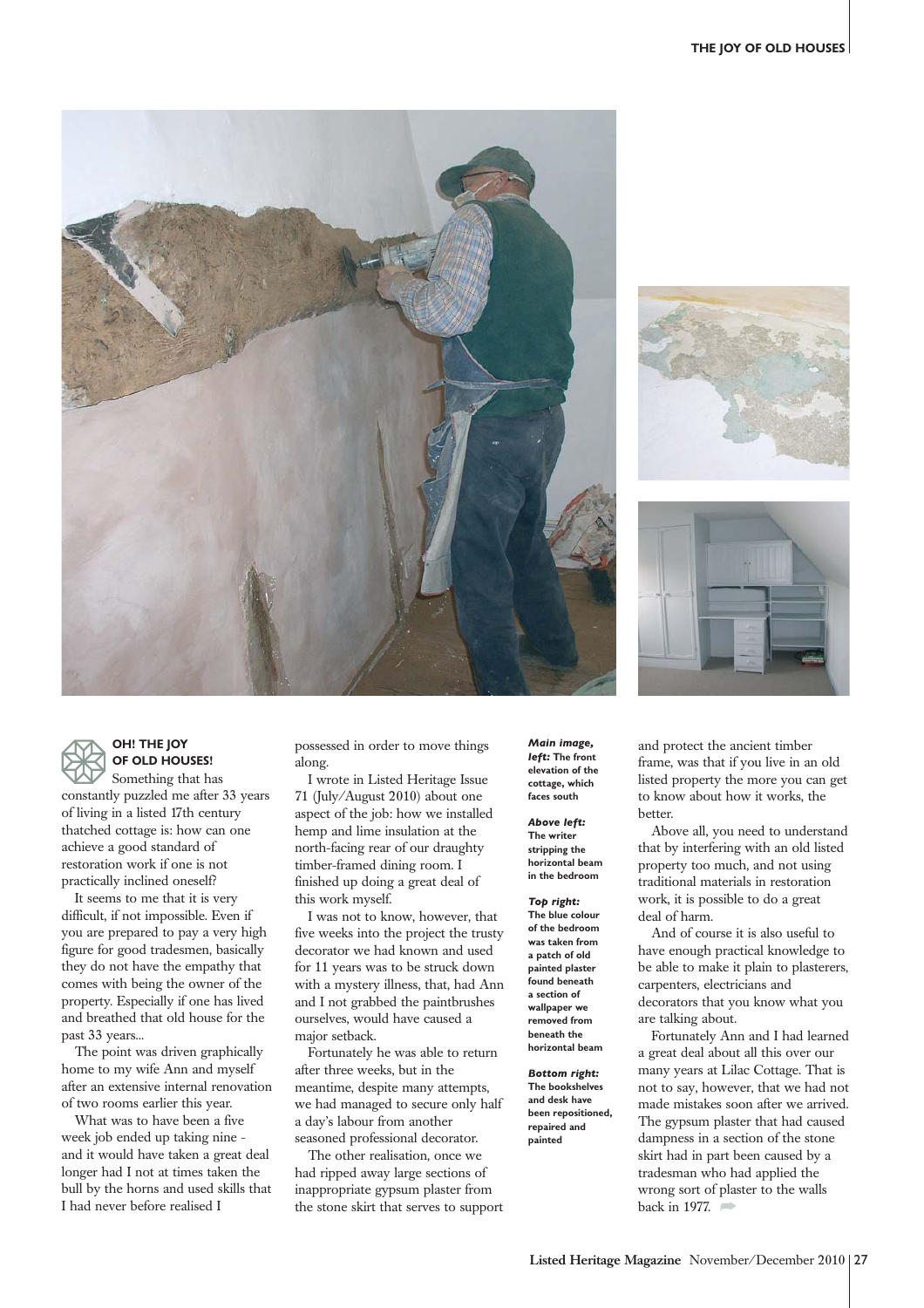





# **OH! THE JOY OF OLD HOUSES!**

Something that has constantly puzzled me after 33 years of living in a listed 17th century thatched cottage is: how can one achieve a good standard of restoration work if one is not practically inclined oneself?

It seems to me that it is very difficult, if not impossible. Even if you are prepared to pay a very high figure for good tradesmen, basically they do not have the empathy that comes with being the owner of the property. Especially if one has lived and breathed that old house for the past 33 years...

The point was driven graphically home to my wife Ann and myself after an extensive internal renovation of two rooms earlier this year.

What was to have been a five week job ended up taking nine and it would have taken a great deal longer had I not at times taken the bull by the horns and used skills that I had never before realised I

possessed in order to move things along.

I wrote in Listed Heritage Issue 71 (July/August 2010) about one aspect of the job: how we installed hemp and lime insulation at the north-facing rear of our draughty timber-framed dining room. I finished up doing a great deal of this work myself.

I was not to know, however, that five weeks into the project the trusty decorator we had known and used for 11 years was to be struck down with a mystery illness, that, had Ann and I not grabbed the paintbrushes ourselves, would have caused a major setback.

Fortunately he was able to return after three weeks, but in the meantime, despite many attempts, we had managed to secure only half a day's labour from another seasoned professional decorator.

The other realisation, once we had ripped away large sections of inappropriate gypsum plaster from the stone skirt that serves to support

*Main image, left:* **The front elevation of the cottage, which faces south**

*Above left:* **The writer stripping the horizontal beam in the bedroom**

*Top right:* **The blue colour of the bedroom was taken from a patch of old painted plaster found beneath a section of wallpaper we removed from beneath the horizontal beam** 

*Bottom right:* **The bookshelves and desk have been repositioned, repaired and painted**

and protect the ancient timber frame, was that if you live in an old listed property the more you can get to know about how it works, the better.

Above all, you need to understand that by interfering with an old listed property too much, and not using traditional materials in restoration work, it is possible to do a great deal of harm.

And of course it is also useful to have enough practical knowledge to be able to make it plain to plasterers, carpenters, electricians and decorators that you know what you are talking about.

Fortunately Ann and I had learned a great deal about all this over our many years at Lilac Cottage. That is not to say, however, that we had not made mistakes soon after we arrived. The gypsum plaster that had caused dampness in a section of the stone skirt had in part been caused by a tradesman who had applied the wrong sort of plaster to the walls back in 1977.  $\blacksquare$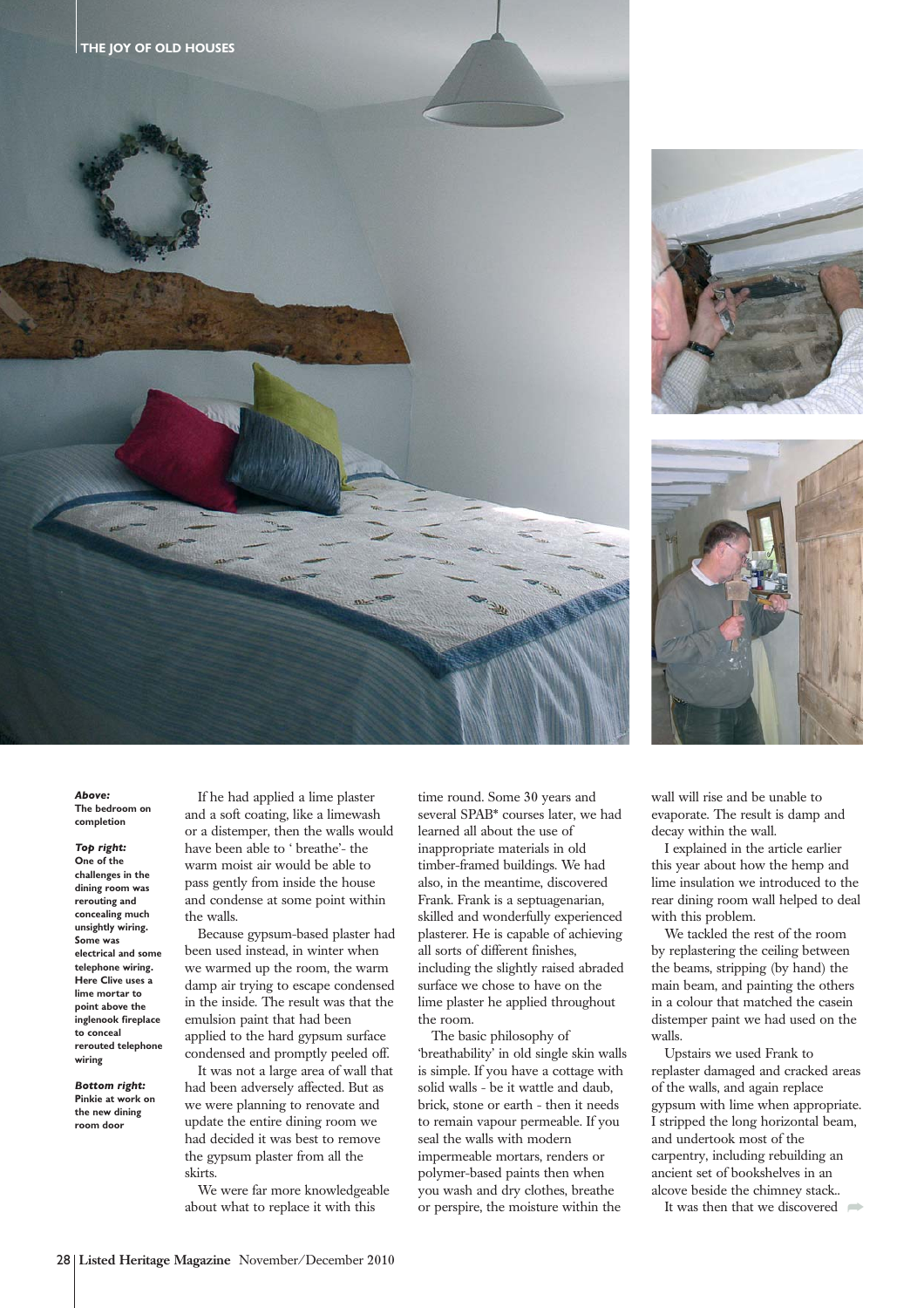



### *Above:* **The bedroom on completion**

*Top right:* **One of the challenges in the dining room was rerouting and concealing much unsightly wiring. Some was electrical and some telephone wiring. Here Clive uses a lime mortar to point above the inglenook fireplace to conceal rerouted telephone wiring**

*Bottom right:* **Pinkie at work on the new dining room door**

If he had applied a lime plaster and a soft coating, like a limewash or a distemper, then the walls would have been able to ' breathe'- the warm moist air would be able to pass gently from inside the house and condense at some point within the walls.

Because gypsum-based plaster had been used instead, in winter when we warmed up the room, the warm damp air trying to escape condensed in the inside. The result was that the emulsion paint that had been applied to the hard gypsum surface condensed and promptly peeled off.

It was not a large area of wall that had been adversely affected. But as we were planning to renovate and update the entire dining room we had decided it was best to remove the gypsum plaster from all the skirts.

We were far more knowledgeable about what to replace it with this

time round. Some 30 years and several SPAB\* courses later, we had learned all about the use of inappropriate materials in old timber-framed buildings. We had also, in the meantime, discovered Frank. Frank is a septuagenarian, skilled and wonderfully experienced plasterer. He is capable of achieving all sorts of different finishes, including the slightly raised abraded surface we chose to have on the lime plaster he applied throughout the room.

The basic philosophy of 'breathability' in old single skin walls is simple. If you have a cottage with solid walls - be it wattle and daub, brick, stone or earth - then it needs to remain vapour permeable. If you seal the walls with modern impermeable mortars, renders or polymer-based paints then when you wash and dry clothes, breathe or perspire, the moisture within the

wall will rise and be unable to evaporate. The result is damp and decay within the wall.

I explained in the article earlier this year about how the hemp and lime insulation we introduced to the rear dining room wall helped to deal with this problem.

We tackled the rest of the room by replastering the ceiling between the beams, stripping (by hand) the main beam, and painting the others in a colour that matched the casein distemper paint we had used on the walls.

Upstairs we used Frank to replaster damaged and cracked areas of the walls, and again replace gypsum with lime when appropriate. I stripped the long horizontal beam, and undertook most of the carpentry, including rebuilding an ancient set of bookshelves in an alcove beside the chimney stack..

It was then that we discovered  $\blacksquare$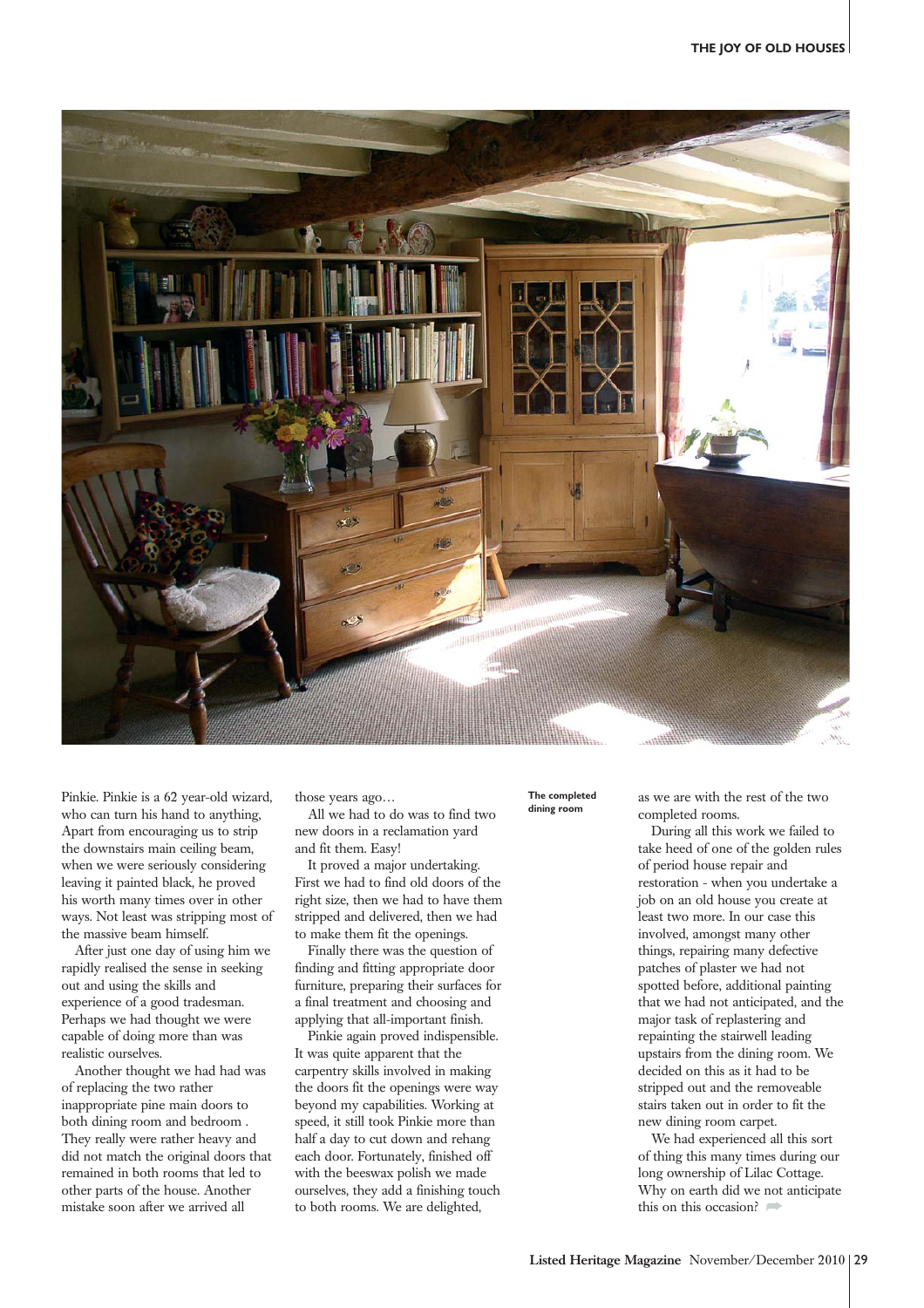

Pinkie. Pinkie is a 62 year-old wizard, who can turn his hand to anything, Apart from encouraging us to strip the downstairs main ceiling beam, when we were seriously considering leaving it painted black, he proved his worth many times over in other ways. Not least was stripping most of the massive beam himself.

After just one day of using him we rapidly realised the sense in seeking out and using the skills and experience of a good tradesman. Perhaps we had thought we were capable of doing more than was realistic ourselves.

Another thought we had had was of replacing the two rather inappropriate pine main doors to both dining room and bedroom . They really were rather heavy and did not match the original doors that remained in both rooms that led to other parts of the house. Another mistake soon after we arrived all

those years ago…

All we had to do was to find two new doors in a reclamation yard and fit them. Easy!

It proved a major undertaking. First we had to find old doors of the right size, then we had to have them stripped and delivered, then we had to make them fit the openings.

Finally there was the question of finding and fitting appropriate door furniture, preparing their surfaces for a final treatment and choosing and applying that all-important finish.

Pinkie again proved indispensible. It was quite apparent that the carpentry skills involved in making the doors fit the openings were way beyond my capabilities. Working at speed, it still took Pinkie more than half a day to cut down and rehang each door. Fortunately, finished off with the beeswax polish we made ourselves, they add a finishing touch to both rooms. We are delighted,

### **The completed dining room**

as we are with the rest of the two completed rooms.

During all this work we failed to take heed of one of the golden rules of period house repair and restoration - when you undertake a job on an old house you create at least two more. In our case this involved, amongst many other things, repairing many defective patches of plaster we had not spotted before, additional painting that we had not anticipated, and the major task of replastering and repainting the stairwell leading upstairs from the dining room. We decided on this as it had to be stripped out and the removeable stairs taken out in order to fit the new dining room carpet.

We had experienced all this sort of thing this many times during our long ownership of Lilac Cottage. Why on earth did we not anticipate this on this occasion?  $\Rightarrow$